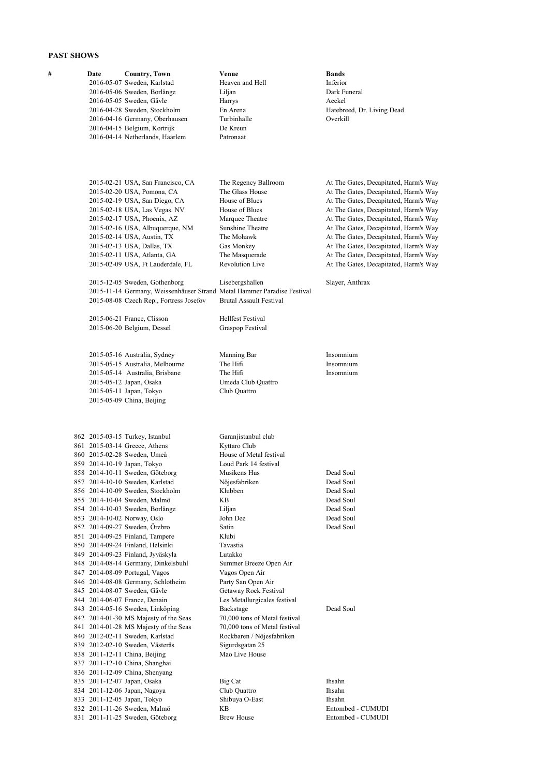## **PAST SHOWS**

| # | Date | <b>Country, Town</b><br>2016-05-07 Sweden, Karlstad<br>2016-05-06 Sweden, Borlänge<br>2016-05-05 Sweden, Gävle<br>2016-04-28 Sweden, Stockholm<br>2016-04-16 Germany, Oberhausen<br>2016-04-15 Belgium, Kortrijk<br>2016-04-14 Netherlands, Haarlem                                                                                                                                                                                                                                                                                                                                                                                                                                                                                                                                                                                                                                                                                                                      | Venue<br>Heaven and Hell<br>Liljan<br>Harrys<br>En Arena<br>Turbinhalle<br>De Kreun<br>Patronaat                                                                                                                                                                                                                                                                                                                                                                                     | <b>Bands</b><br>Inferior<br>Dark Funeral<br>Aeckel<br>Hatebreed, Dr. Living Dead<br>Overkill                                                                                                                                                                                                                                                                                                                                              |
|---|------|--------------------------------------------------------------------------------------------------------------------------------------------------------------------------------------------------------------------------------------------------------------------------------------------------------------------------------------------------------------------------------------------------------------------------------------------------------------------------------------------------------------------------------------------------------------------------------------------------------------------------------------------------------------------------------------------------------------------------------------------------------------------------------------------------------------------------------------------------------------------------------------------------------------------------------------------------------------------------|--------------------------------------------------------------------------------------------------------------------------------------------------------------------------------------------------------------------------------------------------------------------------------------------------------------------------------------------------------------------------------------------------------------------------------------------------------------------------------------|-------------------------------------------------------------------------------------------------------------------------------------------------------------------------------------------------------------------------------------------------------------------------------------------------------------------------------------------------------------------------------------------------------------------------------------------|
|   |      | 2015-02-21 USA, San Francisco, CA<br>2015-02-20 USA, Pomona, CA<br>2015-02-19 USA, San Diego, CA<br>2015-02-18 USA, Las Vegas. NV<br>2015-02-17 USA, Phoenix, AZ<br>2015-02-16 USA, Albuquerque, NM<br>2015-02-14 USA, Austin, TX<br>2015-02-13 USA, Dallas, TX<br>2015-02-11 USA, Atlanta, GA<br>2015-02-09 USA, Ft Lauderdale, FL<br>2015-12-05 Sweden, Gothenborg<br>2015-11-14 Germany, Weissenhäuser Strand Metal Hammer Paradise Festival<br>2015-08-08 Czech Rep., Fortress Josefov                                                                                                                                                                                                                                                                                                                                                                                                                                                                               | The Regency Ballroom<br>The Glass House<br>House of Blues<br>House of Blues<br>Marquee Theatre<br>Sunshine Theatre<br>The Mohawk<br>Gas Monkey<br>The Masquerade<br><b>Revolution Live</b><br>Lisebergshallen<br><b>Brutal Assault Festival</b>                                                                                                                                                                                                                                      | At The Gates, Decapitated, Harm's Way<br>At The Gates, Decapitated, Harm's Way<br>At The Gates, Decapitated, Harm's Way<br>At The Gates, Decapitated, Harm's Way<br>At The Gates, Decapitated, Harm's Way<br>At The Gates, Decapitated, Harm's Way<br>At The Gates, Decapitated, Harm's Way<br>At The Gates, Decapitated, Harm's Way<br>At The Gates, Decapitated, Harm's Way<br>At The Gates, Decapitated, Harm's Way<br>Slayer, Anthrax |
|   |      | 2015-06-21 France, Clisson<br>2015-06-20 Belgium, Dessel                                                                                                                                                                                                                                                                                                                                                                                                                                                                                                                                                                                                                                                                                                                                                                                                                                                                                                                 | <b>Hellfest Festival</b><br>Graspop Festival                                                                                                                                                                                                                                                                                                                                                                                                                                         |                                                                                                                                                                                                                                                                                                                                                                                                                                           |
|   |      | 2015-05-16 Australia, Sydney<br>2015-05-15 Australia, Melbourne<br>2015-05-14 Australia, Brisbane<br>2015-05-12 Japan, Osaka<br>2015-05-11 Japan, Tokyo<br>2015-05-09 China, Beijing                                                                                                                                                                                                                                                                                                                                                                                                                                                                                                                                                                                                                                                                                                                                                                                     | Manning Bar<br>The Hifi<br>The Hifi<br>Umeda Club Quattro<br>Club Quattro                                                                                                                                                                                                                                                                                                                                                                                                            | Insomnium<br>Insomnium<br>Insomnium                                                                                                                                                                                                                                                                                                                                                                                                       |
|   |      | 862 2015-03-15 Turkey, Istanbul<br>861 2015-03-14 Greece, Athens<br>860 2015-02-28 Sweden, Umeå<br>859 2014-10-19 Japan, Tokyo<br>858 2014-10-11 Sweden, Göteborg<br>857 2014-10-10 Sweden, Karlstad<br>856 2014-10-09 Sweden, Stockholm<br>855 2014-10-04 Sweden, Malmö<br>854 2014-10-03 Sweden, Borlänge<br>853 2014-10-02 Norway, Oslo<br>852 2014-09-27 Sweden, Orebro<br>851 2014-09-25 Finland, Tampere<br>850 2014-09-24 Finland, Helsinki<br>849 2014-09-23 Finland, Jyväskyla<br>848 2014-08-14 Germany, Dinkelsbuhl<br>847 2014-08-09 Portugal, Vagos<br>846 2014-08-08 Germany, Schlotheim<br>845 2014-08-07 Sweden, Gävle<br>844 2014-06-07 France, Denain<br>843 2014-05-16 Sweden, Linköping<br>842 2014-01-30 MS Majesty of the Seas<br>841 2014-01-28 MS Majesty of the Seas<br>840 2012-02-11 Sweden, Karlstad<br>839 2012-02-10 Sweden, Västerås<br>838 2011-12-11 China, Beijing<br>837 2011-12-10 China, Shanghai<br>836 2011-12-09 China, Shenyang | Garanjistanbul club<br>Kyttaro Club<br>House of Metal festival<br>Loud Park 14 festival<br>Musikens Hus<br>Nöjesfabriken<br>Klubben<br>KΒ<br>Liljan<br>John Dee<br>Satin<br>Klubi<br>Tavastia<br>Lutakko<br>Summer Breeze Open Air<br>Vagos Open Air<br>Party San Open Air<br>Getaway Rock Festival<br>Les Metallurgicales festival<br>Backstage<br>70,000 tons of Metal festival<br>70,000 tons of Metal festival<br>Rockbaren / Nöjesfabriken<br>Sigurdsgatan 25<br>Mao Live House | Dead Soul<br>Dead Soul<br>Dead Soul<br>Dead Soul<br>Dead Soul<br>Dead Soul<br>Dead Soul<br>Dead Soul                                                                                                                                                                                                                                                                                                                                      |
|   |      | 835 2011-12-07 Japan, Osaka<br>834 2011-12-06 Japan, Nagoya<br>833 2011-12-05 Japan, Tokyo<br>832 2011-11-26 Sweden, Malmö<br>831 2011-11-25 Sweden, Göteborg                                                                                                                                                                                                                                                                                                                                                                                                                                                                                                                                                                                                                                                                                                                                                                                                            | Big Cat<br>Club Quattro<br>Shibuya O-East<br>KΒ<br><b>Brew House</b>                                                                                                                                                                                                                                                                                                                                                                                                                 | Ihsahn<br>Ihsahn<br>Ihsahn<br>Entombed - CUMUDI<br>Entombed - CUMUDI                                                                                                                                                                                                                                                                                                                                                                      |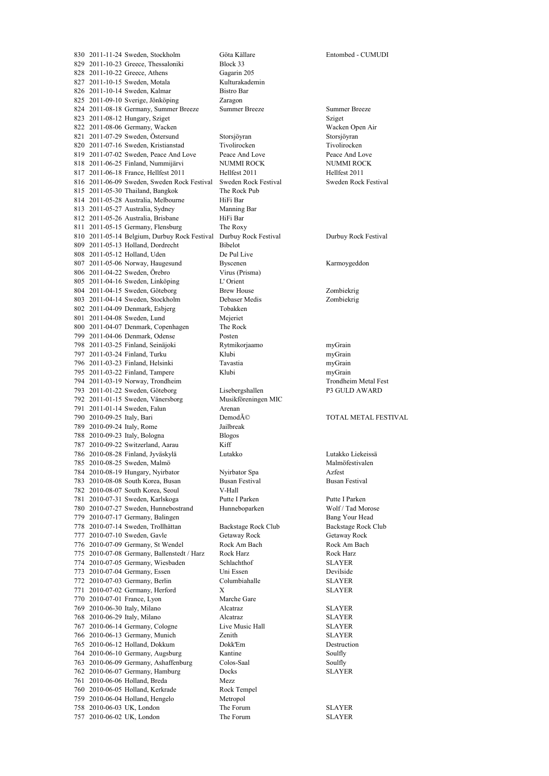2011-11-24 Sweden, Stockholm Göta Källare Entombed - CUMUDI 2011-10-23 Greece, Thessaloniki Block 33 2011-10-22 Greece, Athens Gagarin 205 827 2011-10-15 Sweden, Motala Kulturakademin 826 2011-10-14 Sweden, Kalmar Bistro Bar 2011-09-10 Sverige, Jönköping Zaragon 2011-08-18 Germany, Summer Breeze Summer Breeze Summer Breeze 823 2011-08-12 Hungary, Sziget Sziget Sziget Sziget Sziget Sziget Sziget Sziget Sziget Sziget Sziget Sziget Sziget Sziget Sziget Sziget Sziget Sziget Sziget Sziget Sziget Sziget Sziget Sziget Sziget Sziget Sziget Sziget Sz 822 2011-08-06 Germany, Wacken 2011-07-29 Sweden, Östersund Storsjöyran Storsjöyran 2011-07-16 Sweden, Kristianstad Tivolirocken Tivolirocken 2011-07-02 Sweden, Peace And Love Peace And Love Peace And Love 2011-06-25 Finland, Nummijärvi NUMMI ROCK NUMMI ROCK 2011-06-18 France, Hellfest 2011 Hellfest 2011 Hellfest 2011 2011-06-09 Sweden, Sweden Rock Festival Sweden Rock Festival Sweden Rock Festival 2011-05-30 Thailand, Bangkok The Rock Pub 814 2011-05-28 Australia, Melbourne HiFi Bar 2011-05-27 Australia, Sydney Manning Bar 2011-05-26 Australia, Brisbane HiFi Bar 811 2011-05-15 Germany, Flensburg The Roxy<br>810 2011-05-14 Belgium, Durbuy Rock Festival Durbuy Rock Festival 2011-05-14 Belgium, Durbuy Rock Festival Durbuy Rock Festival Durbuy Rock Festival 2011-05-13 Holland, Dordrecht Bibelot 2011-05-12 Holland, Uden De Pul Live 2011-05-06 Norway, Haugesund Byscenen Karmoygeddon 2011-04-22 Sweden, Örebro Virus (Prisma) 2011-04-16 Sweden, Linköping L' Orient 2011-04-15 Sweden, Göteborg Brew House Zombiekrig 2011-04-14 Sweden, Stockholm Debaser Medis Zombiekrig 802 2011-04-09 Denmark, Esbjerg 2011-04-08 Sweden, Lund Mejeriet 2011-04-07 Denmark, Copenhagen The Rock 2011-04-06 Denmark, Odense Posten 2011-03-25 Finland, Seinäjoki Rytmikorjaamo myGrain 2011-03-24 Finland, Turku Klubi myGrain 2011-03-23 Finland, Helsinki Tavastia myGrain 2011-03-22 Finland, Tampere Klubi myGrain 794 2011-03-19 Norway, Trondheim 2011-01-22 Sweden, Göteborg Lisebergshallen P3 GULD AWARD 2011-01-15 Sweden, Vänersborg Musikföreningen MIC 2011-01-14 Sweden, Falun Arenan 790 2010-09-25 Italy, Bari DemodÁ© TOTAL METAL FESTIVAL 2010-09-24 Italy, Rome Jailbreak 2010-09-23 Italy, Bologna Blogos 2010-09-22 Switzerland, Aarau Kiff 2010-08-28 Finland, Jyväskylä Lutakko Lutakko Liekeissä 785 2010-08-25 Sweden, Malmö Malmö Malmöfestivalen 2010-08-19 Hungary, Nyirbator Nyirbator Spa Azfest 2010-08-08 South Korea, Busan Busan Festival Busan Festival 2010-08-07 South Korea, Seoul V-Hall 2010-07-31 Sweden, Karlskoga Putte I Parken Putte I Parken 2010-07-27 Sweden, Hunnebostrand Hunneboparken Wolf / Tad Morose 2010-07-17 Germany, Balingen Bang Your Head 2010-07-14 Sweden, Trollhättan Backstage Rock Club Backstage Rock Club 2010-07-10 Sweden, Gavle Getaway Rock Getaway Rock 2010-07-09 Germany, St Wendel Rock Am Bach Rock Am Bach 2010-07-08 Germany, Ballenstedt / Harz Rock Harz Rock Harz 2010-07-05 Germany, Wiesbaden Schlachthof SLAYER 2010-07-04 Germany, Essen Uni Essen Devilside 2010-07-03 Germany, Berlin Columbiahalle SLAYER 771 2010-07-02 Germany, Herford X 2010-07-01 France, Lyon Marche Gare 2010-06-30 Italy, Milano Alcatraz SLAYER 2010-06-29 Italy, Milano Alcatraz SLAYER 2010-06-14 Germany, Cologne Live Music Hall SLAYER 2010-06-13 Germany, Munich Zenith SLAYER 2010-06-12 Holland, Dokkum Dokk'Em Destruction 2010-06-10 Germany, Augsburg Kantine Soulfly 2010-06-09 Germany, Ashaffenburg Colos-Saal Soulfly 2010-06-07 Germany, Hamburg Docks SLAYER 2010-06-06 Holland, Breda Mezz 2010-06-05 Holland, Kerkrade Rock Tempel 2010-06-04 Holland, Hengelo Metropol 2010-06-03 UK, London The Forum SLAYER 2010-06-02 UK, London The Forum SLAYER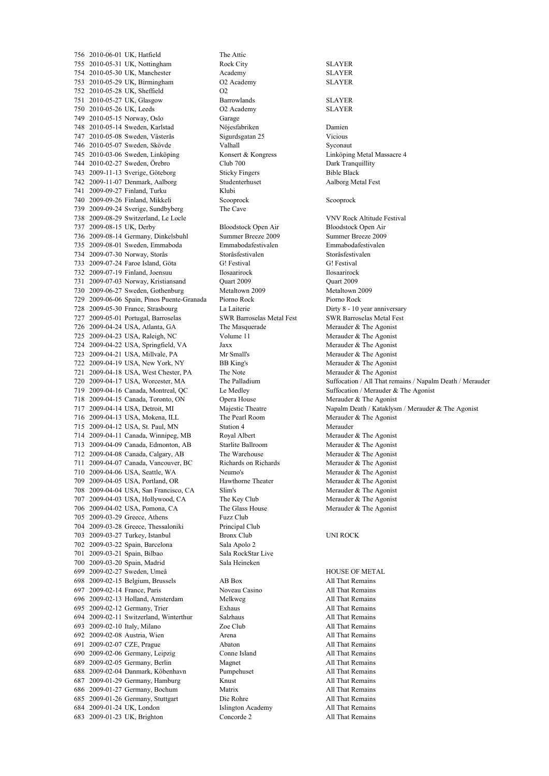2010-06-01 UK, Hatfield The Attic 2010-05-31 UK, Nottingham Rock City SLAYER 2010-05-30 UK, Manchester Academy SLAYER 2010-05-29 UK, Birmingham O2 Academy SLAYER 2010-05-28 UK, Sheffield O2 2010-05-27 UK, Glasgow Barrowlands SLAYER 2010-05-26 UK, Leeds O2 Academy SLAYER 2010-05-15 Norway, Oslo Garage 2010-05-14 Sweden, Karlstad Nöjesfabriken Damien 2010-05-08 Sweden, Västerås Sigurdsgatan 25 Vicious 746 2010-05-07 Sweden, Skövde Valhall Valhall Syconaut 2010-03-06 Sweden, Linköping Konsert & Kongress Linköping Metal Massacre 4 2010-02-27 Sweden, Örebro Club 700 Dark Tranquillity 2009-11-13 Sverige, Göteborg Sticky Fingers Bible Black 2009-11-07 Denmark, Aalborg Studenterhuset Aalborg Metal Fest 2009-09-27 Finland, Turku Klubi 2009-09-26 Finland, Mikkeli Scooprock Scooprock 2009-09-24 Sverige, Sundbyberg The Cave 2009-08-29 Switzerland, Le Locle VNV Rock Altitude Festival 2009-08-15 UK, Derby Bloodstock Open Air Bloodstock Open Air 736 2009-08-14 Germany, Dinkelsbuhl 2009-08-01 Sweden, Emmaboda Emmabodafestivalen Emmabodafestivalen 2009-07-30 Norway, Storås Storåsfestivalen Storåsfestivalen 2009-07-24 Faroe Island, Göta G! Festival G! Festival 2009-07-19 Finland, Joensuu Ilosaarirock Ilosaarirock 2009-07-03 Norway, Kristiansand Quart 2009 Quart 2009 2009-06-27 Sweden, Gothenburg Metaltown 2009 Metaltown 2009 2009-06-06 Spain, Pinos Puente-Granada Piorno Rock Piorno Rock 728 2009-05-30 France, Strasbourg 2009-05-01 Portugal, Barroselas SWR Barroselas Metal Fest SWR Barroselas Metal Fest 726 2009-04-24 USA, Atlanta, GA The Masquerade Merauder & The Agonist 2009-04-23 USA, Raleigh, NC Volume 11 Merauder & The Agonist 2009-04-22 USA, Springfield, VA Jaxx Merauder & The Agonist 2009-04-21 USA, Millvale, PA Mr Small's Merauder & The Agonist 2009-04-19 USA, New York, NY BB King's Merauder & The Agonist 721 2009-04-18 USA, West Chester, PA The Note Merauder & The Agonist 720 2009-04-17 USA Worcester, MA The Palladium Suffocation / All That ren 2009-04-16 Canada, Montreal, QC Le Medley Suffocation / Merauder & The Agonist 2009-04-15 Canada, Toronto, ON Opera House Merauder & The Agonist 716 2009-04-13 USA, Mokena, ILL The Pearl Room Merauder & The Agonist 2009-04-12 USA, St. Paul, MN Station 4 Merauder 2009-04-11 Canada, Winnipeg, MB Royal Albert Merauder & The Agonist 2009-04-09 Canada, Edmonton, AB Starlite Ballroom Merauder & The Agonist 2009-04-08 Canada, Calgary, AB The Warehouse Merauder & The Agonist 2009-04-07 Canada, Vancouver, BC Richards on Richards Merauder & The Agonist 2009-04-06 USA, Seattle, WA Neumo's Merauder & The Agonist 2009-04-05 USA, Portland, OR Hawthorne Theater Merauder & The Agonist 2009-04-04 USA, San Francisco, CA Slim's Merauder & The Agonist 2009-04-03 USA, Hollywood, CA The Key Club Merauder & The Agonist 2009-04-02 USA, Pomona, CA The Glass House Merauder & The Agonist 2009-03-29 Greece, Athens Fuzz Club 2009-03-28 Greece, Thessaloniki Principal Club 2009-03-27 Turkey, Istanbul Bronx Club UNI ROCK 2009-03-22 Spain, Barcelona Sala Apolo 2 2009-03-21 Spain, Bilbao Sala RockStar Live 2009-03-20 Spain, Madrid Sala Heineken 2009-02-27 Sweden, Umeå HOUSE OF METAL 2009-02-15 Belgium, Brussels AB Box All That Remains 697 2009-02-14 France, Paris Noveau Casino 2009-02-13 Holland, Amsterdam Melkweg All That Remains 2009-02-12 Germany, Trier Exhaus All That Remains 2009-02-11 Switzerland, Winterthur Salzhaus All That Remains 2009-02-10 Italy, Milano Zoe Club All That Remains 2009-02-08 Austria, Wien Arena All That Remains 2009-02-07 CZE, Prague Abaton All That Remains 2009-02-06 Germany, Leipzig Conne Island All That Remains 2009-02-05 Germany, Berlin Magnet All That Remains 2009-02-04 Danmark, Köbenhavn Pumpehuset All That Remains 2009-01-29 Germany, Hamburg Knust All That Remains 2009-01-27 Germany, Bochum Matrix All That Remains 2009-01-26 Germany, Stuttgart Die Rohre All That Remains 2009-01-24 UK, London Islington Academy All That Remains 2009-01-23 UK, Brighton Concorde 2 All That Remains

Suffocation / All That remains / Napalm Death / Merauder Majestic Theatre Napalm Death / Kataklysm / Merauder & The Agonist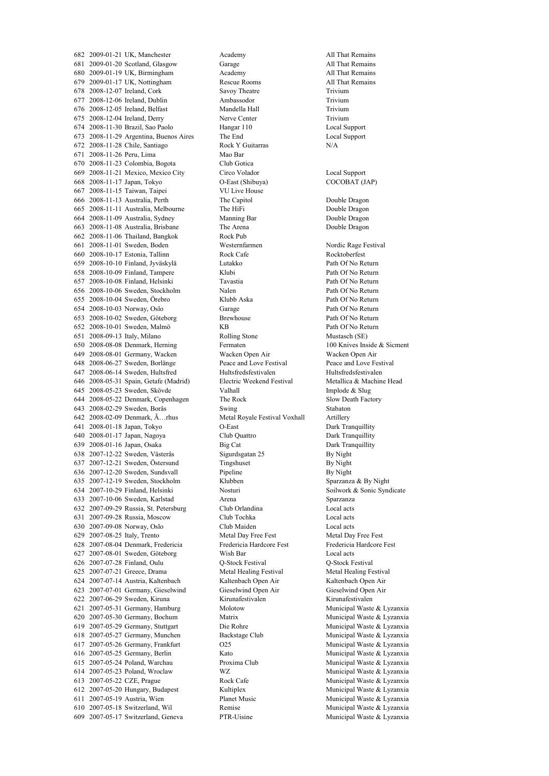2009-01-21 UK, Manchester Academy All That Remains 2009-01-20 Scotland, Glasgow Garage All That Remains 2009-01-19 UK, Birmingham Academy All That Remains 2009-01-17 UK, Nottingham Rescue Rooms All That Remains 2008-12-07 Ireland, Cork Savoy Theatre Trivium 2008-12-06 Ireland, Dublin Ambassodor Trivium 2008-12-05 Ireland, Belfast Mandella Hall Trivium 2008-12-04 Ireland, Derry Nerve Center Trivium 2008-11-30 Brazil, Sao Paolo Hangar 110 Local Support 2008-11-29 Argentina, Buenos Aires The End Local Support 2008-11-28 Chile, Santiago Rock Y Guitarras N/A 2008-11-26 Peru, Lima Mao Bar 2008-11-23 Colombia, Bogota Club Gotica 2008-11-21 Mexico, Mexico City Circo Volador Local Support 2008-11-17 Japan, Tokyo O-East (Shibuya) COCOBAT (JAP) 2008-11-15 Taiwan, Taipei VU Live House 2008-11-13 Australia, Perth The Capitol Double Dragon 2008-11-11 Australia, Melbourne The HiFi Double Dragon 2008-11-09 Australia, Sydney Manning Bar Double Dragon 2008-11-08 Australia, Brisbane The Arena Double Dragon 662 2008-11-06 Thailand, Bangkok 2008-11-01 Sweden, Boden Westernfarmen Nordic Rage Festival 2008-10-17 Estonia, Tallinn Rock Cafe Rocktoberfest 2008-10-10 Finland, Jyväskylä Lutakko Path Of No Return 2008-10-09 Finland, Tampere Klubi Path Of No Return 2008-10-08 Finland, Helsinki Tavastia Path Of No Return 2008-10-06 Sweden, Stockholm Nalen Path Of No Return 2008-10-04 Sweden, Örebro Klubb Aska Path Of No Return 2008-10-03 Norway, Oslo Garage 2008-10-02 Sweden, Göteborg Brewhouse Path Of No Return 2008-10-01 Sweden, Malmö KB Path Of No Return 2008-09-13 Italy, Milano Rolling Stone Mustasch (SE) 2008-08-08 Denmark, Herning Fermaten 100 Knives Inside & Sicment 2008-08-01 Germany, Wacken Wacken Open Air Wacken Open Air 2008-06-27 Sweden, Borlänge Peace and Love Festival Peace and Love Festival 647 2008-06-14 Sweden, Hultsfred Hultsfredsfestivalen Hultsfredsfestivalen Hultsfredsfestivalen Hultsfredsfestivalen Hultsfredsfestivalen Hultsfredsfestivalen Hultsfredsfestivalen Hultsfredsfestivalen Hultsfredsfestivalen 646 2008-05-31 Spain, Getafe (Madrid) 2008-05-23 Sweden, Skövde Valhall Implode & Slug 644 2008-05-22 Denmark, Copenhagen The Rock Slow Death Factory 643 2008-02-29 Sweden, Borås Swing Stabaton Stabaton 2008-02-09 Denmark, Ã…rhus Metal Royale Festival Voxhall Artillery 2008-01-18 Japan, Tokyo O-East Dark Tranquillity 2008-01-17 Japan, Nagoya Club Quattro Dark Tranquillity 639 2008-01-16 Japan, Osaka Big Cat Big Cat Dark Tranquillity<br>638 2007-12-22 Sweden. Västerås Sigurdsgatan 25 By Night 2007-12-22 Sweden, Västerås Sigurdsgatan 25 By Night 2007-12-21 Sweden, Östersund Tingshuset By Night 2007-12-20 Sweden, Sundsvall Pipeline By Night 2007-12-19 Sweden, Stockholm Klubben Sparzanza & By Night 2007-10-29 Finland, Helsinki Nosturi Soilwork & Sonic Syndicate 2007-10-06 Sweden, Karlstad Arena Sparzanza 2007-09-29 Russia, St. Petersburg Club Orlandina Local acts 2007-09-28 Russia, Moscow Club Tochka Local acts 2007-09-08 Norway, Oslo Club Maiden Local acts 2007-08-25 Italy, Trento Metal Day Free Fest Metal Day Free Fest 2007-08-04 Denmark, Fredericia Fredericia Hardcore Fest Fredericia Hardcore Fest 2007-08-01 Sweden, Göteborg Wish Bar Local acts 2007-07-28 Finland, Oulu Q-Stock Festival Q-Stock Festival 2007-07-21 Greece, Drama Metal Healing Festival Metal Healing Festival 2007-07-14 Austria, Kaltenbach Kaltenbach Open Air Kaltenbach Open Air 2007-07-01 Germany, Gieselwind Gieselwind Open Air Gieselwind Open Air 2007-06-29 Sweden, Kiruna Kirunafestivalen Kirunafestivalen 2007-05-31 Germany, Hamburg Molotow Municipal Waste & Lyzanxia 2007-05-30 Germany, Bochum Matrix Municipal Waste & Lyzanxia 2007-05-29 Germany, Stuttgart Die Rohre Municipal Waste & Lyzanxia 2007-05-27 Germany, Munchen Backstage Club Municipal Waste & Lyzanxia 2007-05-26 Germany, Frankfurt O25 Municipal Waste & Lyzanxia 2007-05-25 Germany, Berlin Kato Municipal Waste & Lyzanxia 2007-05-24 Poland, Warchau Proxima Club Municipal Waste & Lyzanxia 2007-05-23 Poland, Wroclaw WZ Municipal Waste & Lyzanxia 2007-05-22 CZE, Prague Rock Cafe Municipal Waste & Lyzanxia 2007-05-20 Hungary, Budapest Kultiplex Municipal Waste & Lyzanxia 2007-05-19 Austria, Wien Planet Music Municipal Waste & Lyzanxia 2007-05-18 Switzerland, Wil Remise Municipal Waste & Lyzanxia 2007-05-17 Switzerland, Geneva PTR-Uisine Municipal Waste & Lyzanxia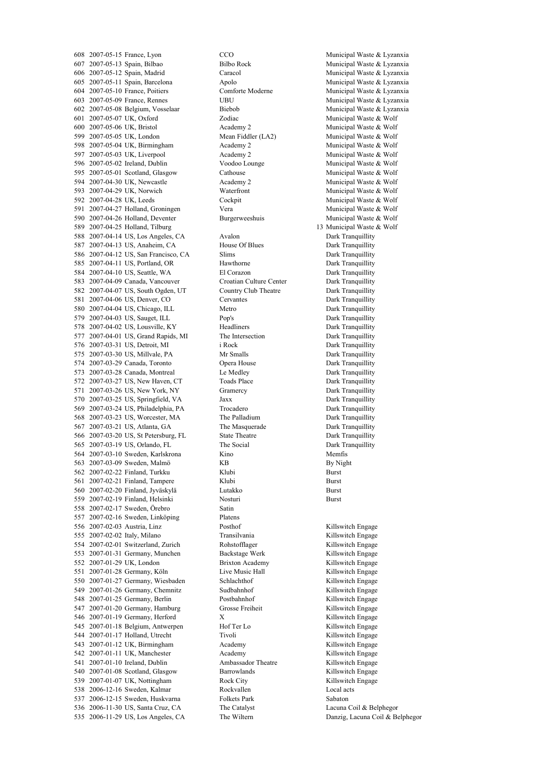2007-05-13 Spain, Bilbao Bilbo Rock Municipal Waste & Lyzanxia 2007-05-12 Spain, Madrid Caracol Municipal Waste & Lyzanxia 2007-05-11 Spain, Barcelona Apolo Municipal Waste & Lyzanxia 2007-05-10 France, Poitiers Comforte Moderne Municipal Waste & Lyzanxia 2007-05-09 France, Rennes UBU Municipal Waste & Lyzanxia 2007-05-08 Belgium, Vosselaar Biebob Municipal Waste & Lyzanxia 2007-05-07 UK, Oxford Zodiac Municipal Waste & Wolf 2007-05-06 UK, Bristol Academy 2 Municipal Waste & Wolf 2007-05-05 UK, London Mean Fiddler (LA2) Municipal Waste & Wolf 2007-05-04 UK, Birmingham Academy 2 Municipal Waste & Wolf 2007-05-03 UK, Liverpool Academy 2 Municipal Waste & Wolf 596 2007-05-02 Ireland, Dublin Voodoo Lounge Municipal Waste & Wolf 595 2007-05-01 Scotland, Glasgow Cathouse Cathouse Municipal Waste & Wolf 2007-04-30 UK, Newcastle Academy 2 Municipal Waste & Wolf 2007-04-29 UK, Norwich Waterfront Municipal Waste & Wolf 2007-04-28 UK, Leeds Cockpit Municipal Waste & Wolf 591 2007-04-27 Holland, Groningen Vera Vera Municipal Waste & Wolf 2007-04-26 Holland, Deventer Burgerweeshuis Municipal Waste & Wolf 589 2007-04-25 Holland, Tilburg 13 Municipal Waste & Wolf<br>588 2007-04-14 US, Los Angeles, CA Avalon 1997 2007-04-14 US, Los Angeles, CA Avalon 588 2007-04-14 US, Los Angeles, CA 587 2007-04-13 US, Anaheim, CA House Of Blues Dark Tranquillity 2007-04-12 US, San Francisco, CA Slims Dark Tranquillity 2007-04-11 US, Portland, OR Hawthorne Dark Tranquillity 2007-04-10 US, Seattle, WA El Corazon Dark Tranquillity 2007-04-09 Canada, Vancouver Croatian Culture Center Dark Tranquillity 2007-04-07 US, South Ogden, UT Country Club Theatre Dark Tranquillity 2007-04-06 US, Denver, CO Cervantes Dark Tranquillity 2007-04-04 US, Chicago, ILL Metro Dark Tranquillity 2007-04-03 US, Sauget, ILL Pop's Dark Tranquillity 2007-04-02 US, Lousville, KY Headliners Dark Tranquillity 2007-04-01 US, Grand Rapids, MI The Intersection Dark Tranquillity 2007-03-31 US, Detroit, MI i Rock Dark Tranquillity 575 2007-03-30 US, Millvale, PA Mr Smalls Dark Tranquillity 2007-03-29 Canada, Toronto Opera House Dark Tranquillity 2007-03-28 Canada, Montreal Le Medley Dark Tranquillity 2007-03-27 US, New Haven, CT Toads Place Dark Tranquillity 2007-03-26 US, New York, NY Gramercy Dark Tranquillity 2007-03-25 US, Springfield, VA Jaxx Dark Tranquillity 2007-03-24 US, Philadelphia, PA Trocadero Dark Tranquillity 2007-03-23 US, Worcester, MA The Palladium Dark Tranquillity 2007-03-21 US, Atlanta, GA The Masquerade Dark Tranquillity 2007-03-20 US, St Petersburg, FL State Theatre Dark Tranquillity 565 2007-03-19 US, Orlando, FL The Social 2007-03-10 Sweden, Karlskrona Kino Memfis 563 2007-03-09 Sweden, Malmö KB KB By Night 2007-02-22 Finland, Turkku Klubi Burst 561 2007-02-21 Finland, Tampere Klubi Rurst 2007-02-20 Finland, Jyväskylä Lutakko Burst 2007-02-19 Finland, Helsinki Nosturi Burst 2007-02-17 Sweden, Örebro Satin 2007-02-16 Sweden, Linköping Platens 556 2007-02-03 Austria, Linz Posthof Posthof Killswitch Engage 2007-02-02 Italy, Milano Transilvania Killswitch Engage 554 2007-02-01 Switzerland, Zurich Rohstofflager Killswitch Engage 2007-01-31 Germany, Munchen Backstage Werk Killswitch Engage 2007-01-29 UK, London Brixton Academy Killswitch Engage 2007-01-28 Germany, Köln Live Music Hall Killswitch Engage 2007-01-27 Germany, Wiesbaden Schlachthof Killswitch Engage 549 2007-01-26 Germany, Chemnitz Sudbahnhof Killswitch Engage 548 2007-01-25 Germany, Berlin Postbahnhof Killswitch Engage 547 2007-01-20 Germany, Hamburg Grosse Freiheit Killswitch Engage 546 2007-01-19 Germany, Herford X Killswitch Engage 545 2007-01-18 Belgium, Antwerpen Hof Ter Lo Killswitch Engage 2007-01-17 Holland, Utrecht Tivoli Killswitch Engage 543 2007-01-12 UK, Birmingham Academy Academy Killswitch Engage 2007-01-11 UK, Manchester Academy Killswitch Engage 2007-01-10 Ireland, Dublin Ambassador Theatre Killswitch Engage 540 2007-01-08 Scotland, Glasgow Barrowlands Killswitch Engage 539 2007-01-07 UK, Nottingham Rock City Killswitch Engage 2006-12-16 Sweden, Kalmar Rockvallen Local acts 2006-12-15 Sweden, Huskvarna Folkets Park Sabaton 2006-11-30 US, Santa Cruz, CA The Catalyst Lacuna Coil & Belphegor 2006-11-29 US, Los Angeles, CA The Wiltern Danzig, Lacuna Coil & Belphegor

2007-05-15 France, Lyon CCO Municipal Waste & Lyzanxia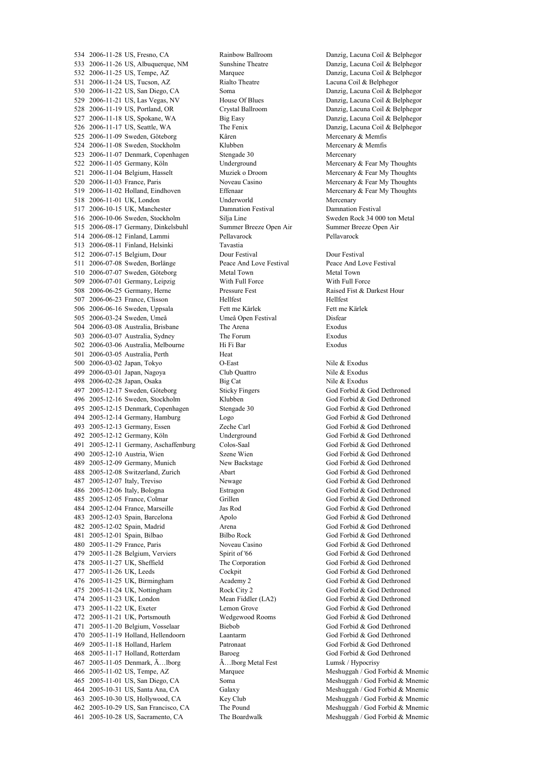2006-11-28 US, Fresno, CA Rainbow Ballroom Danzig, Lacuna Coil & Belphegor 2006-11-26 US, Albuquerque, NM Sunshine Theatre Danzig, Lacuna Coil & Belphegor 2006-11-25 US, Tempe, AZ Marquee Danzig, Lacuna Coil & Belphegor 2006-11-24 US, Tucson, AZ Rialto Theatre Lacuna Coil & Belphegor 2006-11-22 US, San Diego, CA Soma Danzig, Lacuna Coil & Belphegor 2006-11-21 US, Las Vegas, NV House Of Blues Danzig, Lacuna Coil & Belphegor 2006-11-19 US, Portland, OR Crystal Ballroom Danzig, Lacuna Coil & Belphegor 2006-11-18 US, Spokane, WA Big Easy Danzig, Lacuna Coil & Belphegor 2006-11-17 US, Seattle, WA The Fenix Danzig, Lacuna Coil & Belphegor 2006-11-09 Sweden, Göteborg Kåren Mercenary & Memfis 2006-11-08 Sweden, Stockholm Klubben Mercenary & Memfis 2006-11-07 Denmark, Copenhagen Stengade 30 Mercenary 2006-11-05 Germany, Köln Underground Mercenary & Fear My Thoughts 521 2006-11-04 Belgium, Hasselt Muziek o Droom Mercenary & Fear My Thoughts 2006-11-03 France, Paris Noveau Casino Mercenary & Fear My Thoughts 519 2006-11-02 Holland, Eindhoven Effenaar Effenaar Mercenary & Fear My Thoughts 2006-11-01 UK, London Underworld Mercenary 2006-10-15 UK, Manchester Damnation Festival Damnation Festival 2006-10-06 Sweden, Stockholm Silja Line Sweden Rock 34 000 ton Metal 2006-08-17 Germany, Dinkelsbuhl Summer Breeze Open Air Summer Breeze Open Air 514 2006-08-12 Finland, Lammi 2006-08-11 Finland, Helsinki Tavastia 2006-07-15 Belgium, Dour Dour Festival Dour Festival 2006-07-08 Sweden, Borlänge Peace And Love Festival Peace And Love Festival 2006-07-07 Sweden, Göteborg Metal Town Metal Town 2006-07-01 Germany, Leipzig With Full Force With Full Force 508 2006-06-25 Germany, Herne Pressure Fest Raised Fist & Darkest Hour 507 2006-06-23 France, Clisson<br>
506 2006-06-16 Sweden. Uppsala<br>
Fett me Kärlek Hellfest<br>
Fett me Kärlek Hett me Kärlek Hett me Kärlek 2006-06-16 Sweden, Uppsala 2006-03-24 Sweden, Umeå Umeå Open Festival Disfear 2006-03-08 Australia, Brisbane The Arena Exodus 2006-03-07 Australia, Sydney The Forum Exodus 2006-03-06 Australia, Melbourne Hi Fi Bar Exodus 2006-03-05 Australia, Perth Heat 2006-03-02 Japan, Tokyo O-East Nile & Exodus 499 2006-03-01 Japan, Nagoya Club Quattro Nile & Exodus<br>
498 2006-02-28 Japan, Osaka Big Cat Nile & Exodus 498 2006-02-28 Japan, Osaka Big Cat 2005-12-17 Sweden, Göteborg Sticky Fingers God Forbid & God Dethroned 2005-12-16 Sweden, Stockholm Klubben God Forbid & God Dethroned 2005-12-15 Denmark, Copenhagen Stengade 30 God Forbid & God Dethroned 2005-12-14 Germany, Hamburg Logo God Forbid & God Dethroned 2005-12-13 Germany, Essen Zeche Carl God Forbid & God Dethroned 2005-12-12 Germany, Köln Underground God Forbid & God Dethroned 2005-12-11 Germany, Aschaffenburg Colos-Saal God Forbid & God Dethroned 2005-12-10 Austria, Wien Szene Wien God Forbid & God Dethroned 2005-12-09 Germany, Munich New Backstage God Forbid & God Dethroned 2005-12-08 Switzerland, Zurich Abart God Forbid & God Dethroned 2005-12-07 Italy, Treviso Newage God Forbid & God Dethroned 2005-12-06 Italy, Bologna Estragon God Forbid & God Dethroned 2005-12-05 France, Colmar Grillen God Forbid & God Dethroned 2005-12-04 France, Marseille Jas Rod God Forbid & God Dethroned 2005-12-03 Spain, Barcelona Apolo God Forbid & God Dethroned 2005-12-02 Spain, Madrid Arena God Forbid & God Dethroned 2005-12-01 Spain, Bilbao Bilbo Rock God Forbid & God Dethroned 2005-11-29 France, Paris Noveau Casino God Forbid & God Dethroned 2005-11-28 Belgium, Verviers Spirit of '66 God Forbid & God Dethroned 2005-11-27 UK, Sheffield The Corporation God Forbid & God Dethroned 2005-11-26 UK, Leeds Cockpit God Forbid & God Dethroned 2005-11-25 UK, Birmingham Academy 2 God Forbid & God Dethroned 475 2005-11-24 UK, Nottingham Rock City 2 God Forbid & God Dethroned<br>474 2005-11-23 UK. London Mean Fiddler (LA2) God Forbid & God Dethroned 2005-11-23 UK, London Mean Fiddler (LA2) God Forbid & God Dethroned 2005-11-22 UK, Exeter Lemon Grove God Forbid & God Dethroned 2005-11-21 UK, Portsmouth Wedgewood Rooms God Forbid & God Dethroned 2005-11-20 Belgium, Vosselaar Biebob God Forbid & God Dethroned 2005-11-19 Holland, Hellendoorn Laantarm God Forbid & God Dethroned 2005-11-18 Holland, Harlem Patronaat God Forbid & God Dethroned 2005-11-17 Holland, Rotterdam Baroeg God Forbid & God Dethroned 2005-11-05 Denmark, Ã…lborg Ã…lborg Metal Fest Lumsk / Hypocrisy 2005-11-02 US, Tempe, AZ Marquee Meshuggah / God Forbid & Mnemic 2005-11-01 US, San Diego, CA Soma Meshuggah / God Forbid & Mnemic 2005-10-31 US, Santa Ana, CA Galaxy Meshuggah / God Forbid & Mnemic 2005-10-30 US, Hollywood, CA Key Club Meshuggah / God Forbid & Mnemic 2005-10-29 US, San Francisco, CA The Pound Meshuggah / God Forbid & Mnemic 2005-10-28 US, Sacramento, CA The Boardwalk Meshuggah / God Forbid & Mnemic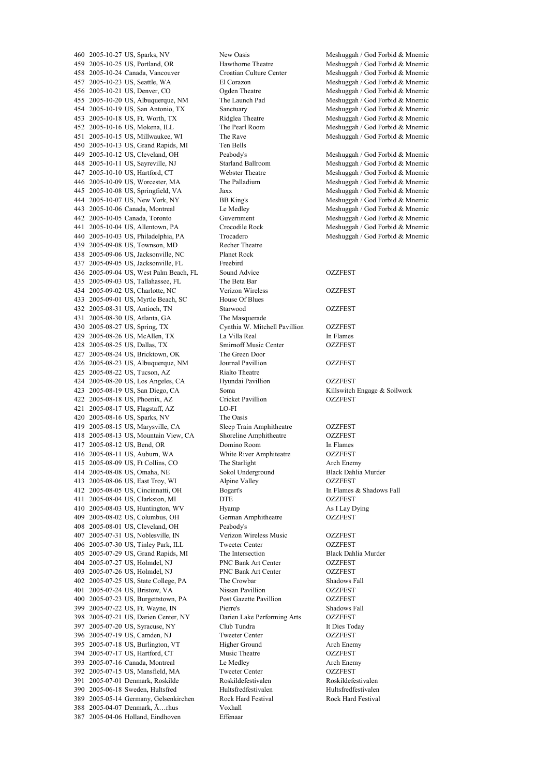2005-10-25 US, Portland, OR Hawthorne Theatre Meshuggah / God Forbid & Mnemic 2005-10-24 Canada, Vancouver Croatian Culture Center Meshuggah / God Forbid & Mnemic 2005-10-23 US, Seattle, WA El Corazon Meshuggah / God Forbid & Mnemic 2005-10-21 US, Denver, CO Ogden Theatre Meshuggah / God Forbid & Mnemic 2005-10-20 US, Albuquerque, NM The Launch Pad Meshuggah / God Forbid & Mnemic 2005-10-19 US, San Antonio, TX Sanctuary Meshuggah / God Forbid & Mnemic 2005-10-18 US, Ft. Worth, TX Ridglea Theatre Meshuggah / God Forbid & Mnemic 2005-10-16 US, Mokena, ILL The Pearl Room Meshuggah / God Forbid & Mnemic 2005-10-15 US, Millwaukee, WI The Rave Meshuggah / God Forbid & Mnemic 2005-10-13 US, Grand Rapids, MI Ten Bells 2005-10-12 US, Cleveland, OH Peabody's Meshuggah / God Forbid & Mnemic 2005-10-11 US, Sayreville, NJ Starland Ballroom Meshuggah / God Forbid & Mnemic 2005-10-10 US, Hartford, CT Webster Theatre Meshuggah / God Forbid & Mnemic 2005-10-09 US, Worcester, MA The Palladium Meshuggah / God Forbid & Mnemic 2005-10-08 US, Springfield, VA Jaxx Meshuggah / God Forbid & Mnemic 2005-10-07 US, New York, NY BB King's Meshuggah / God Forbid & Mnemic 2005-10-06 Canada, Montreal Le Medley Meshuggah / God Forbid & Mnemic 2005-10-05 Canada, Toronto Guvernment Meshuggah / God Forbid & Mnemic 2005-10-04 US, Allentown, PA Crocodile Rock Meshuggah / God Forbid & Mnemic 2005-09-08 US, Townson, MD Recher Theatre 2005-09-06 US, Jacksonville, NC Planet Rock 437 2005-09-05 US, Jacksonville, FL Freebird 2005-09-04 US, West Palm Beach, FL Sound Advice OZZFEST 2005-09-03 US, Tallahassee, FL The Beta Bar 2005-09-02 US, Charlotte, NC Verizon Wireless OZZFEST 2005-09-01 US, Myrtle Beach, SC House Of Blues 2005-08-31 US, Antioch, TN Starwood OZZFEST 2005-08-30 US, Atlanta, GA The Masquerade 2005-08-27 US, Spring, TX Cynthia W. Mitchell Pavillion OZZFEST 429 2005-08-26 US, McAllen, TX La Villa Real In Flames 2005-08-25 US, Dallas, TX Smirnoff Music Center OZZFEST 2005-08-24 US, Bricktown, OK The Green Door 2005-08-23 US, Albuquerque, NM Journal Pavillion OZZFEST 2005-08-22 US, Tucson, AZ Rialto Theatre 2005-08-20 US, Los Angeles, CA Hyundai Pavillion OZZFEST 423 2005-08-19 US, San Diego, CA Soma Killswitch Engage & Soilwork<br>422 2005-08-18 US, Phoenix, AZ Cricket Pavillion OZZFEST 422 2005-08-18 US, Phoenix, AZ Cricket Pavillion 2005-08-17 US, Flagstaff, AZ LO-FI 2005-08-16 US, Sparks, NV The Oasis 2005-08-15 US, Marysville, CA Sleep Train Amphitheatre OZZFEST 2005-08-13 US, Mountain View, CA Shoreline Amphitheatre OZZFEST 2005-08-12 US, Bend, OR Domino Room In Flames 2005-08-11 US, Auburn, WA White River Amphiteatre OZZFEST 2005-08-09 US, Ft Collins, CO The Starlight Arch Enemy 2005-08-08 US, Omaha, NE Sokol Underground Black Dahlia Murder 2005-08-06 US, East Troy, WI Alpine Valley OZZFEST 2005-08-05 US, Cincinnatti, OH Bogart's In Flames & Shadows Fall 2005-08-04 US, Clarkston, MI DTE OZZFEST 2005-08-03 US, Huntington, WV Hyamp As I Lay Dying 2005-08-02 US, Columbus, OH German Amphitheatre OZZFEST 2005-08-01 US, Cleveland, OH Peabody's 2005-07-31 US, Noblesville, IN Verizon Wireless Music OZZFEST 2005-07-30 US, Tinley Park, ILL Tweeter Center OZZFEST 2005-07-29 US, Grand Rapids, MI The Intersection Black Dahlia Murder 2005-07-27 US, Holmdel, NJ PNC Bank Art Center OZZFEST 2005-07-26 US, Holmdel, NJ PNC Bank Art Center OZZFEST 2005-07-25 US, State College, PA The Crowbar Shadows Fall 2005-07-24 US, Bristow, VA Nissan Pavillion OZZFEST 2005-07-23 US, Burgettstown, PA Post Gazette Pavillion OZZFEST 2005-07-22 US, Ft. Wayne, IN Pierre's Shadows Fall 2005-07-21 US, Darien Center, NY Darien Lake Performing Arts OZZFEST 2005-07-20 US, Syracuse, NY Club Tundra It Dies Today 2005-07-19 US, Camden, NJ Tweeter Center OZZFEST 2005-07-18 US, Burlington, VT Higher Ground Arch Enemy 2005-07-17 US, Hartford, CT Music Theatre OZZFEST 2005-07-16 Canada, Montreal Le Medley Arch Enemy 2005-07-15 US, Mansfield, MA Tweeter Center OZZFEST 2005-07-01 Denmark, Roskilde Roskildefestivalen Roskildefestivalen 2005-06-18 Sweden, Hultsfred Hultsfredfestivalen Hultsfredfestivalen 2005-05-14 Germany, Gelsenkirchen Rock Hard Festival Rock Hard Festival 2005-04-07 Denmark, Ã…rhus Voxhall 2005-04-06 Holland, Eindhoven Effenaar

 2005-10-27 US, Sparks, NV New Oasis Meshuggah / God Forbid & Mnemic Meshuggah / God Forbid & Mnemic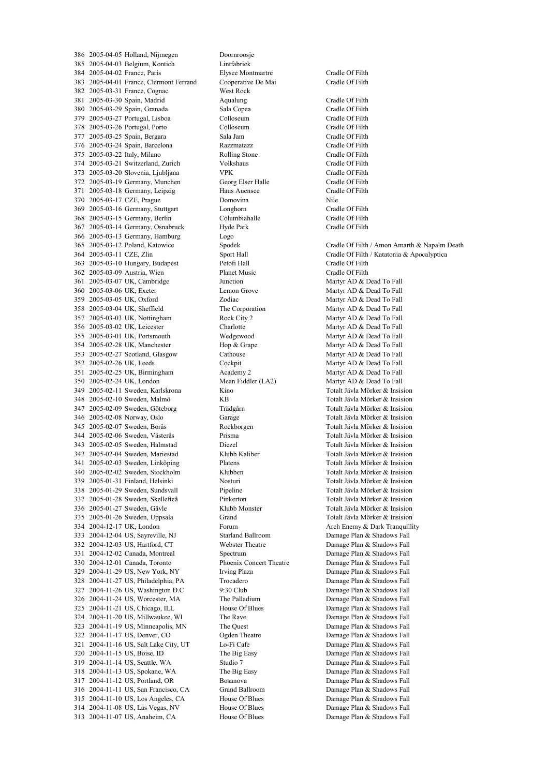2005-04-05 Holland, Nijmegen Doornroosje 2005-04-03 Belgium, Kontich Lintfabriek 2005-04-02 France, Paris Elysee Montmartre Cradle Of Filth 2005-04-01 France, Clermont Ferrand Cooperative De Mai Cradle Of Filth 2005-03-31 France, Cognac West Rock 2005-03-30 Spain, Madrid Aqualung Cradle Of Filth 2005-03-29 Spain, Granada Sala Copea Cradle Of Filth 2005-03-27 Portugal, Lisboa Colloseum Cradle Of Filth 2005-03-26 Portugal, Porto Colloseum Cradle Of Filth 2005-03-25 Spain, Bergara Sala Jam Cradle Of Filth 2005-03-24 Spain, Barcelona Razzmatazz Cradle Of Filth 2005-03-22 Italy, Milano Rolling Stone Cradle Of Filth 2005-03-21 Switzerland, Zurich Volkshaus Cradle Of Filth 2005-03-20 Slovenia, Ljubljana VPK Cradle Of Filth 2005-03-19 Germany, Munchen Georg Elser Halle Cradle Of Filth 2005-03-18 Germany, Leipzig Haus Auensee Cradle Of Filth 2005-03-17 CZE, Prague Domovina Nile 2005-03-16 Germany, Stuttgart Longhorn Cradle Of Filth 2005-03-15 Germany, Berlin Columbiahalle Cradle Of Filth 2005-03-14 Germany, Osnabruck Hyde Park Cradle Of Filth 2005-03-13 Germany, Hamburg Logo 2005-03-12 Poland, Katowice Spodek Cradle Of Filth / Amon Amarth & Napalm Death 2005-03-11 CZE, Zlin Sport Hall Cradle Of Filth / Katatonia & Apocalyptica 2005-03-10 Hungary, Budapest Petofi Hall Cradle Of Filth 2005-03-09 Austria, Wien Planet Music Cradle Of Filth 361 2005-03-07 UK, Cambridge Junction Junction Martyr AD & Dead To Fall 2005-03-06 UK, Exeter Lemon Grove Martyr AD & Dead To Fall 359 2005-03-05 UK, Oxford 2001ac Zodiac Martyr AD & Dead To Fall<br>358 2005-03-04 UK. Sheffield The Corporation Martyr AD & Dead To Fall 2005-03-04 UK, Sheffield The Corporation Martyr AD & Dead To Fall 2005-03-03 UK, Nottingham Rock City 2 Martyr AD & Dead To Fall 2005-03-02 UK, Leicester Charlotte Martyr AD & Dead To Fall 2005-03-01 UK, Portsmouth Wedgewood Martyr AD & Dead To Fall 2005-02-28 UK, Manchester Hop & Grape Martyr AD & Dead To Fall 353 2005-02-27 Scotland, Glasgow Cathouse Cathouse Martyr AD & Dead To Fall 2005-02-26 UK, Leeds Cockpit Martyr AD & Dead To Fall 351 2005-02-25 UK, Birmingham Academy 2 Martyr AD & Dead To Fall 2005-02-24 UK, London Mean Fiddler (LA2) Martyr AD & Dead To Fall 2005-02-11 Sweden, Karlskrona Kino Totalt Jävla Mörker & Insision 2005-02-10 Sweden, Malmö KB Totalt Jävla Mörker & Insision 2005-02-09 Sweden, Göteborg Trädgårn Totalt Jävla Mörker & Insision 2005-02-08 Norway, Oslo Garage Totalt Jävla Mörker & Insision 2005-02-07 Sweden, Borås Rockborgen Totalt Jävla Mörker & Insision 2005-02-06 Sweden, Västerås Prisma Totalt Jävla Mörker & Insision 2005-02-05 Sweden, Halmstad Diezel Totalt Jävla Mörker & Insision 2005-02-04 Sweden, Mariestad Klubb Kaliber Totalt Jävla Mörker & Insision 2005-02-03 Sweden, Linköping Platens Totalt Jävla Mörker & Insision 2005-02-02 Sweden, Stockholm Klubben Totalt Jävla Mörker & Insision 2005-01-31 Finland, Helsinki Nosturi Totalt Jävla Mörker & Insision 2005-01-29 Sweden, Sundsvall Pipeline Totalt Jävla Mörker & Insision 2005-01-28 Sweden, Skellefteå Pinkerton Totalt Jävla Mörker & Insision 2005-01-27 Sweden, Gävle Klubb Monster Totalt Jävla Mörker & Insision 2005-01-26 Sweden, Uppsala Grand Totalt Jävla Mörker & Insision 2004-12-04 US, Sayreville, NJ Starland Ballroom Damage Plan & Shadows Fall 2004-12-03 US, Hartford, CT Webster Theatre Damage Plan & Shadows Fall 2004-12-02 Canada, Montreal Spectrum Damage Plan & Shadows Fall 2004-12-01 Canada, Toronto Phoenix Concert Theatre Damage Plan & Shadows Fall 2004-11-29 US, New York, NY Irving Plaza Damage Plan & Shadows Fall 2004-11-27 US, Philadelphia, PA Trocadero Damage Plan & Shadows Fall 2004-11-26 US, Washington D.C 9:30 Club Damage Plan & Shadows Fall 2004-11-24 US, Worcester, MA The Palladium Damage Plan & Shadows Fall 2004-11-21 US, Chicago, ILL House Of Blues Damage Plan & Shadows Fall 2004-11-20 US, Millwaukee, WI The Rave Damage Plan & Shadows Fall 2004-11-19 US, Minneapolis, MN The Quest Damage Plan & Shadows Fall 2004-11-17 US, Denver, CO Ogden Theatre Damage Plan & Shadows Fall 321 2004-11-16 US, Salt Lake City, UT Lo-Fi Cafe Damage Plan & Shadows Fall 2004-11-15 US, Boise, ID The Big Easy Damage Plan & Shadows Fall 2004-11-14 US, Seattle, WA Studio 7 Damage Plan & Shadows Fall 2004-11-13 US, Spokane, WA The Big Easy Damage Plan & Shadows Fall 2004-11-12 US, Portland, OR Bosanova Damage Plan & Shadows Fall 2004-11-11 US, San Francisco, CA Grand Ballroom Damage Plan & Shadows Fall 2004-11-10 US, Los Angeles, CA House Of Blues Damage Plan & Shadows Fall 2004-11-08 US, Las Vegas, NV House Of Blues Damage Plan & Shadows Fall 313 2004-11-07 US, Anaheim, CA House Of Blues Damage Plan & Shadows Fall

Forum **Arch Enemy & Dark Tranquillity**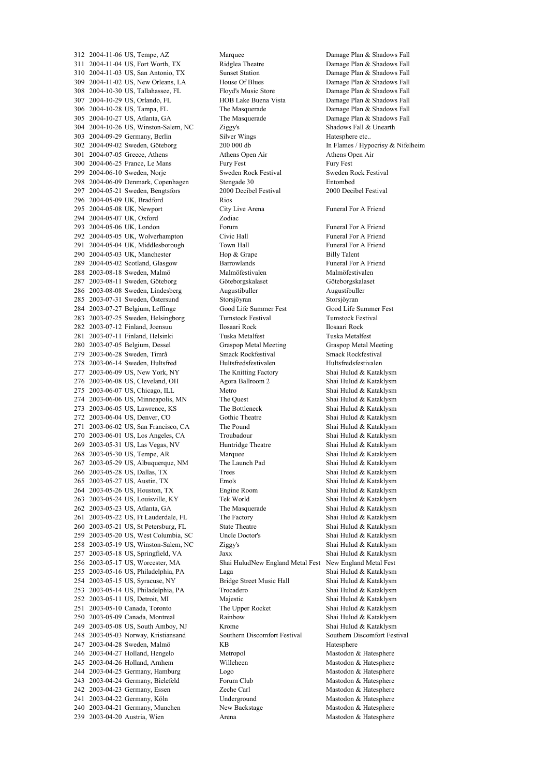2004-11-04 US, Fort Worth, TX Ridglea Theatre Damage Plan & Shadows Fall 2004-11-03 US, San Antonio, TX Sunset Station Damage Plan & Shadows Fall 2004-11-02 US, New Orleans, LA House Of Blues Damage Plan & Shadows Fall 2004-10-30 US, Tallahassee, FL Floyd's Music Store Damage Plan & Shadows Fall 2004-10-29 US, Orlando, FL HOB Lake Buena Vista Damage Plan & Shadows Fall 306 2004-10-28 US, Tampa, FL The Masquerade Damage Plan & Shadows Fall 2004-10-27 US, Atlanta, GA The Masquerade Damage Plan & Shadows Fall 2004-10-26 US, Winston-Salem, NC Ziggy's Shadows Fall & Unearth 2004-09-29 Germany, Berlin Silver Wings Hatesphere etc.. 2004-09-02 Sweden, Göteborg 200 000 db In Flames / Hypocrisy & Nifelheim 2004-07-05 Greece, Athens Athens Open Air Athens Open Air 2004-06-25 France, Le Mans Fury Fest Fury Fest 2004-06-10 Sweden, Norje Sweden Rock Festival Sweden Rock Festival 2004-06-09 Denmark, Copenhagen Stengade 30 Entombed 2004-05-21 Sweden, Bengtsfors 2000 Decibel Festival 2000 Decibel Festival 2004-05-09 UK, Bradford Rios 2004-05-08 UK, Newport City Live Arena Funeral For A Friend 2004-05-07 UK, Oxford Zodiac 293 2004-05-06 UK, London Forum Forum Forum Forum Funeral For A Friend<br>292 2004-05-05 UK, Wolverhampton Civic Hall Funeral For A Friend 292 2004-05-05 UK, Wolverhampton 2004-05-04 UK, Middlesborough Town Hall Funeral For A Friend 290 2004-05-03 UK, Manchester Hop & Grape Billy Talent 2004-05-02 Scotland, Glasgow Barrowlands Funeral For A Friend 288 2003-08-18 Sweden, Malmö Malmöfestivalen Malmöfestivalen Malmöfestivalen 287 2003-08-11 Sweden, Göteborg Göteborgskalaset Göteborgskalaset Göteborgskalaset 2003-08-08 Sweden, Lindesberg Augustibuller Augustibuller 285 2003-07-31 Sweden, Östersund Storsjöyran Storsjöyran Storsjöyran Storsjöyran Storsjöyran Storsjöyran Storsjöyran Storsjöyran Storsjöyran Storsjöyran Storsjöyran Storsjöyran Storsjöyran Storsjöyran Storsjöyran Storsjöyr 284 2003-07-27 Belgium, Leffinge 2003-07-25 Sweden, Helsingborg Tumstock Festival Tumstock Festival 2003-07-12 Finland, Joensuu Ilosaari Rock Ilosaari Rock 2003-07-11 Finland, Helsinki Tuska Metalfest Tuska Metalfest 2003-07-05 Belgium, Dessel Graspop Metal Meeting Graspop Metal Meeting 2003-06-28 Sweden, Timrå Smack Rockfestival Smack Rockfestival 278 2003-06-14 Sweden, Hultsfred Hultsfredsfestivalen Hultsfredsfestivalen 2003-06-09 US, New York, NY The Knitting Factory Shai Hulud & Kataklysm 2003-06-08 US, Cleveland, OH Agora Ballroom 2 Shai Hulud & Kataklysm 2003-06-07 US, Chicago, ILL Metro Shai Hulud & Kataklysm 2003-06-06 US, Minneapolis, MN The Quest Shai Hulud & Kataklysm 2003-06-05 US, Lawrence, KS The Bottleneck Shai Hulud & Kataklysm 2003-06-04 US, Denver, CO Gothic Theatre Shai Hulud & Kataklysm 2003-06-02 US, San Francisco, CA The Pound Shai Hulud & Kataklysm 2003-06-01 US, Los Angeles, CA Troubadour Shai Hulud & Kataklysm 2003-05-31 US, Las Vegas, NV Huntridge Theatre Shai Hulud & Kataklysm 2003-05-30 US, Tempe, AR Marquee Shai Hulud & Kataklysm 2003-05-29 US, Albuquerque, NM The Launch Pad Shai Hulud & Kataklysm 2003-05-28 US, Dallas, TX Trees Shai Hulud & Kataklysm 2003-05-27 US, Austin, TX Emo's Shai Hulud & Kataklysm 2003-05-26 US, Houston, TX Engine Room Shai Hulud & Kataklysm 2003-05-24 US, Louisville, KY Tek World Shai Hulud & Kataklysm 2003-05-23 US, Atlanta, GA The Masquerade Shai Hulud & Kataklysm 2003-05-22 US, Ft Lauderdale, FL The Factory Shai Hulud & Kataklysm 2003-05-21 US, St Petersburg, FL State Theatre Shai Hulud & Kataklysm 2003-05-20 US, West Columbia, SC Uncle Doctor's Shai Hulud & Kataklysm 2003-05-19 US, Winston-Salem, NC Ziggy's Shai Hulud & Kataklysm 2003-05-18 US, Springfield, VA Jaxx Shai Hulud & Kataklysm 2003-05-17 US, Worcester, MA Shai HuludNew England Metal Fest New England Metal Fest 2003-05-16 US, Philadelphia, PA Laga Shai Hulud & Kataklysm 254 2003-05-15 US, Syracuse, NY Bridge Street Music Hall Shai Hulud & Kataklysm<br>253 2003-05-14 US, Philadelphia, PA Trocadero Shai Hulud & Kataklysm 253 2003-05-14 US, Philadelphia, PA Trocadero 2003-05-11 US, Detroit, MI Majestic Shai Hulud & Kataklysm 2003-05-10 Canada, Toronto The Upper Rocket Shai Hulud & Kataklysm 2003-05-09 Canada, Montreal Rainbow Shai Hulud & Kataklysm 2003-05-08 US, South Amboy, NJ Krome Shai Hulud & Kataklysm 2003-05-03 Norway, Kristiansand Southern Discomfort Festival Southern Discomfort Festival 2003-04-28 Sweden, Malmö KB Hatesphere 2003-04-27 Holland, Hengelo Metropol Mastodon & Hatesphere 2003-04-26 Holland, Arnhem Willeheen Mastodon & Hatesphere 244 2003-04-25 Germany, Hamburg Logo Logo Mastodon & Hatesphere 2003-04-24 Germany, Bielefeld Forum Club Mastodon & Hatesphere 2003-04-23 Germany, Essen Zeche Carl Mastodon & Hatesphere 2003-04-22 Germany, Köln Underground Mastodon & Hatesphere 2003-04-21 Germany, Munchen New Backstage Mastodon & Hatesphere 2003-04-20 Austria, Wien Arena Mastodon & Hatesphere

2004-11-06 US, Tempe, AZ Marquee Damage Plan & Shadows Fall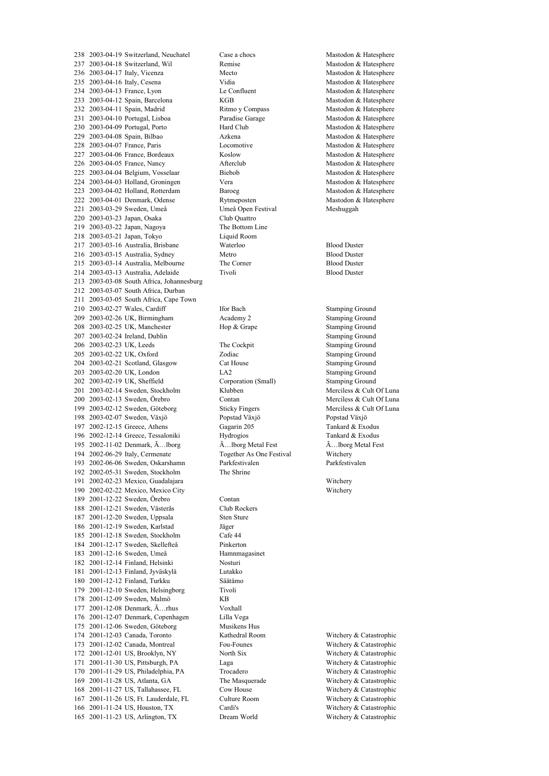2003-04-19 Switzerland, Neuchatel Case a chocs Mastodon & Hatesphere 2003-04-18 Switzerland, Wil Remise Mastodon & Hatesphere 2003-04-17 Italy, Vicenza Mecto Mastodon & Hatesphere 235 2003-04-16 Italy, Cesena Vidia Vidia Mastodon & Hatesphere<br>234 2003-04-13 France. Lyon Le Confluent Mastodon & Hatesphere 2003-04-13 France, Lyon Le Confluent Mastodon & Hatesphere 2003-04-12 Spain, Barcelona KGB Mastodon & Hatesphere 2003-04-11 Spain, Madrid Ritmo y Compass Mastodon & Hatesphere 2003-04-10 Portugal, Lisboa Paradise Garage Mastodon & Hatesphere 230 2003-04-09 Portugal, Porto Hard Club Mastodon & Hatesphere 2003-04-08 Spain, Bilbao Azkena Mastodon & Hatesphere 228 2003-04-07 France, Paris Locomotive Locomotive Mastodon & Hatesphere 2003-04-06 France, Bordeaux Koslow Mastodon & Hatesphere 2003-04-05 France, Nancy Afterclub Mastodon & Hatesphere 2003-04-04 Belgium, Vosselaar Biebob Mastodon & Hatesphere 2003-04-03 Holland, Groningen Vera Mastodon & Hatesphere 223 2003-04-02 Holland, Rotterdam Baroeg Baroeg Mastodon & Hatesphere<br>222 2003-04-01 Denmark. Odense Rytmeposten Mastodon & Hatesphere 222 2003-04-01 Denmark, Odense Rytmeposten 2003-03-29 Sweden, Umeå Umeå Open Festival Meshuggah 2003-03-23 Japan, Osaka Club Quattro 2003-03-22 Japan, Nagoya The Bottom Line 218 2003-03-21 Japan, Tokyo 2003-03-16 Australia, Brisbane Waterloo Blood Duster 2003-03-15 Australia, Sydney Metro Blood Duster 2003-03-14 Australia, Melbourne The Corner Blood Duster 2003-03-13 Australia, Adelaide Tivoli Blood Duster 2003-03-08 South Africa, Johannesburg 2003-03-07 South Africa, Durban 2003-03-05 South Africa, Cape Town 210 2003-02-27 Wales, Cardiff Ifor Bach Stamping Ground 2003-02-26 UK, Birmingham Academy 2 Stamping Ground 2003-02-25 UK, Manchester Hop & Grape Stamping Ground 2003-02-24 Ireland, Dublin Stamping Ground 2003-02-23 UK, Leeds The Cockpit Stamping Ground 2003-02-22 UK, Oxford Zodiac Stamping Ground 2003-02-21 Scotland, Glasgow Cat House Stamping Ground 203 2003-02-20 UK, London LA2 <br>202 2003-02-19 UK. Sheffield Corporation (Small) Stamping Ground 2003-02-19 UK, Sheffield Corporation (Small) Stamping Ground 2003-02-14 Sweden, Stockholm Klubben Merciless & Cult Of Luna 200 2003-02-13 Sweden, Örebro Contan 2003-02-12 Sweden, Göteborg Sticky Fingers Merciless & Cult Of Luna 2003-02-07 Sweden, Växjö Popstad Växjö Popstad Växjö 2002-12-15 Greece, Athens Gagarin 205 Tankard & Exodus 2002-12-14 Greece, Tessaloniki Hydrogios Tankard & Exodus 195 2002-11-02 Denmark,  $\tilde{A}$ ...Iborg  $\tilde{A}$ ...Iborg Metal Fest  $\tilde{A}$ ...Iborg Metal Fest  $\tilde{A}$ ...Iborg Metal Fest  $\tilde{A}$ ...Iborg Metal Fest  $\tilde{A}$ ...Iborg Metal Fest  $\tilde{A}$ ...Iborg Metal Fest  $\tilde{A}$ ...Ib 2002-06-29 Italy, Cermenate Together As One Festival Witchery 2002-06-06 Sweden, Oskarshamn Parkfestivalen Parkfestivalen 2002-05-31 Sweden, Stockholm The Shrine 2002-02-23 Mexico, Guadalajara Witchery 2002-02-22 Mexico, Mexico City Witchery 2001-12-22 Sweden, Örebro Contan 2001-12-21 Sweden, Västerås Club Rockers 2001-12-20 Sweden, Uppsala Sten Sture 2001-12-19 Sweden, Karlstad Jäger 2001-12-18 Sweden, Stockholm Cafe 44 2001-12-17 Sweden, Skellefteå Pinkerton 2001-12-16 Sweden, Umeå Hamnmagasinet 2001-12-14 Finland, Helsinki Nosturi 2001-12-13 Finland, Jyväskylä Lutakko 2001-12-12 Finland, Turkku Säätämo 179 2001-12-10 Sweden, Helsingborg Tivoli 2001-12-09 Sweden, Malmö KB 2001-12-08 Denmark, Ã…rhus Voxhall 2001-12-07 Denmark, Copenhagen Lilla Vega 2001-12-06 Sweden, Göteborg Musikens Hus 2001-12-03 Canada, Toronto Kathedral Room Witchery & Catastrophic 2001-12-02 Canada, Montreal Fou-Founes Witchery & Catastrophic 2001-12-01 US, Brooklyn, NY North Six Witchery & Catastrophic 2001-11-30 US, Pittsburgh, PA Laga Witchery & Catastrophic 2001-11-29 US, Philadelphia, PA Trocadero Witchery & Catastrophic 2001-11-28 US, Atlanta, GA The Masquerade Witchery & Catastrophic 2001-11-27 US, Tallahassee, FL Cow House Witchery & Catastrophic 2001-11-26 US, Ft. Lauderdale, FL Culture Room Witchery & Catastrophic 2001-11-24 US, Houston, TX Cardi's Witchery & Catastrophic 2001-11-23 US, Arlington, TX Dream World Witchery & Catastrophic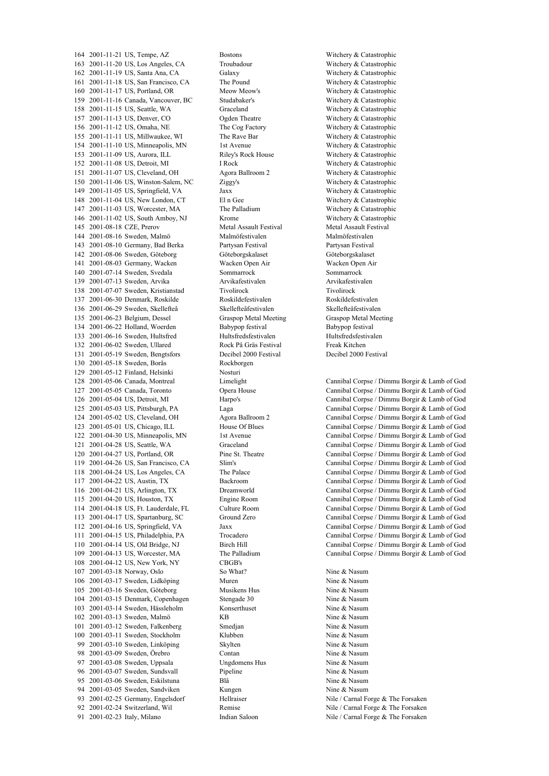2001-11-21 US, Tempe, AZ Bostons Witchery & Catastrophic 2001-11-20 US, Los Angeles, CA Troubadour Witchery & Catastrophic 2001-11-19 US, Santa Ana, CA Galaxy Witchery & Catastrophic 2001-11-18 US, San Francisco, CA The Pound Witchery & Catastrophic 2001-11-17 US, Portland, OR Meow Meow's Witchery & Catastrophic 2001-11-16 Canada, Vancouver, BC Studabaker's Witchery & Catastrophic 2001-11-15 US, Seattle, WA Graceland Witchery & Catastrophic 2001-11-13 US, Denver, CO Ogden Theatre Witchery & Catastrophic 2001-11-12 US, Omaha, NE The Cog Factory Witchery & Catastrophic 2001-11-11 US, Millwaukee, WI The Rave Bar Witchery & Catastrophic 2001-11-10 US, Minneapolis, MN 1st Avenue Witchery & Catastrophic 2001-11-09 US, Aurora, ILL Riley's Rock House Witchery & Catastrophic 2001-11-08 US, Detroit, MI I Rock Witchery & Catastrophic 2001-11-07 US, Cleveland, OH Agora Ballroom 2 Witchery & Catastrophic 2001-11-06 US, Winston-Salem, NC Ziggy's Witchery & Catastrophic 2001-11-05 US, Springfield, VA Jaxx Witchery & Catastrophic 2001-11-04 US, New London, CT El n Gee 2001-11-03 US, Worcester, MA The Palladium Witchery & Catastrophic 2001-11-02 US, South Amboy, NJ Krome Witchery & Catastrophic 2001-08-18 CZE, Prerov Metal Assault Festival Metal Assault Festival 144 2001-08-16 Sweden, Malmö 2001-08-10 Germany, Bad Berka Partysan Festival Partysan Festival 2001-08-06 Sweden, Göteborg Göteborgskalaset Göteborgskalaset 2001-08-03 Germany, Wacken Wacken Open Air Wacken Open Air 2001-07-14 Sweden, Svedala Sommarrock Sommarrock 2001-07-13 Sweden, Arvika Arvikafestivalen Arvikafestivalen 2001-07-07 Sweden, Kristianstad Tivolirock Tivolirock 137 2001-06-30 Denmark, Roskilde Roskildefestivalen Roskildefestivalen Roskildefestivalen Roskildefestivalen Roskildefestivalen Roskildefestivalen Roskildefestivalen Roskildefestivalen Roskildefestivalen Roskildefestivalen 136 2001-06-29 Sweden, Skellefteå 2001-06-23 Belgium, Dessel Graspop Metal Meeting Graspop Metal Meeting 2001-06-22 Holland, Woerden Babypop festival Babypop festival 133 2001-06-16 Sweden, Hultsfred Hultsfredsfestivalen Hultsfredsfestivalen 2001-06-02 Sweden, Ullared Rock På Gräs Festival Freak Kitchen 2001-05-19 Sweden, Bengtsfors Decibel 2000 Festival Decibel 2000 Festival 2001-05-18 Sweden, Borås Rockborgen 129 2001-05-12 Finland, Helsinki Nosturi<br>128 2001-05-06 Canada Montreal Limelig 2001-04-12 US, New York, NY CBGB's 107 2001-03-18 Norway, Oslo So What? So What? Nine & Nasum 106 2001-03-17 Sweden, Lidköping Muren Muren Musikens Hus<br>105 2001-03-16 Sweden. Göteborg Musikens Hus Musikens Musikens Musikens Musikens Musikens Musikens Musikens Mu 105 2001-03-16 Sweden, Göteborg 104 2001-03-15 Denmark, Copenhagen Stengade 30 Nine & Nasum 2001-03-14 Sweden, Hässleholm Konserthuset Nine & Nasum 102 2001-03-13 Sweden, Malmö KB KB Nine & Nasum 2001-03-12 Sweden, Falkenberg Smedjan Nine & Nasum 2001-03-11 Sweden, Stockholm Klubben Nine & Nasum 99 2001-03-10 Sweden, Linköping Skylten Skylten Nine & Nasum 98 2001-03-09 Sweden, Örebro Contan Contan Nine & Nasum 97 2001-03-08 Sweden, Uppsala Ungdomens Hus Nine & Nasum 96 2001-03-07 Sweden, Sundsvall Pipeline Pipeline Nine & Nasum 95 2001-03-06 Sweden, Eskilstuna Blå Blå Nine & Nasum 94 2001-03-05 Sweden, Sandviken Kungen Nine & Nasum 2001-02-25 Germany, Engelsdorf Hellraiser Nile / Carnal Forge & The Forsaken 2001-02-24 Switzerland, Wil Remise Nile / Carnal Forge & The Forsaken 91 2001-02-23 Italy, Milano Indian Saloon Nile / Carnal Forge & The Forsaken

 2001-05-06 Canada, Montreal Limelight Cannibal Corpse / Dimmu Borgir & Lamb of God 2001-05-05 Canada, Toronto Opera House Cannibal Corpse / Dimmu Borgir & Lamb of God 2001-05-04 US, Detroit, MI Harpo's Cannibal Corpse / Dimmu Borgir & Lamb of God 2001-05-03 US, Pittsburgh, PA Laga Cannibal Corpse / Dimmu Borgir & Lamb of God 2001-05-02 US, Cleveland, OH Agora Ballroom 2 Cannibal Corpse / Dimmu Borgir & Lamb of God 2001-05-01 US, Chicago, ILL House Of Blues Cannibal Corpse / Dimmu Borgir & Lamb of God 2001-04-30 US, Minneapolis, MN 1st Avenue Cannibal Corpse / Dimmu Borgir & Lamb of God 121 2001-04-28 US, Seattle, WA Graceland Graceland Cannibal Corpse / Dimmu Borgir & Lamb of God<br>120 2001-04-27 US Portland OR Pine St Theatre Cannibal Corpse / Dimmu Borgir & Lamb of God Cannibal Corpse / Dimmu Borgir & Lamb of God 2001-04-26 US, San Francisco, CA Slim's Cannibal Corpse / Dimmu Borgir & Lamb of God 2001-04-24 US, Los Angeles, CA The Palace Cannibal Corpse / Dimmu Borgir & Lamb of God 2001-04-22 US, Austin, TX Backroom Cannibal Corpse / Dimmu Borgir & Lamb of God 2001-04-21 US, Arlington, TX Dreamworld Cannibal Corpse / Dimmu Borgir & Lamb of God 2001-04-20 US, Houston, TX Engine Room Cannibal Corpse / Dimmu Borgir & Lamb of God 2001-04-18 US, Ft. Lauderdale, FL Culture Room Cannibal Corpse / Dimmu Borgir & Lamb of God 2001-04-17 US, Spartanburg, SC Ground Zero Cannibal Corpse / Dimmu Borgir & Lamb of God 12 Jaxx Cannibal Corpse / Dimmu Borgir & Lamb of God 2001-04-15 US, Philadelphia, PA Trocadero Cannibal Corpse / Dimmu Borgir & Lamb of God 2001-04-14 US, Old Bridge, NJ Birch Hill Cannibal Corpse / Dimmu Borgir & Lamb of God 2001-04-13 US, Worcester, MA The Palladium Cannibal Corpse / Dimmu Borgir & Lamb of God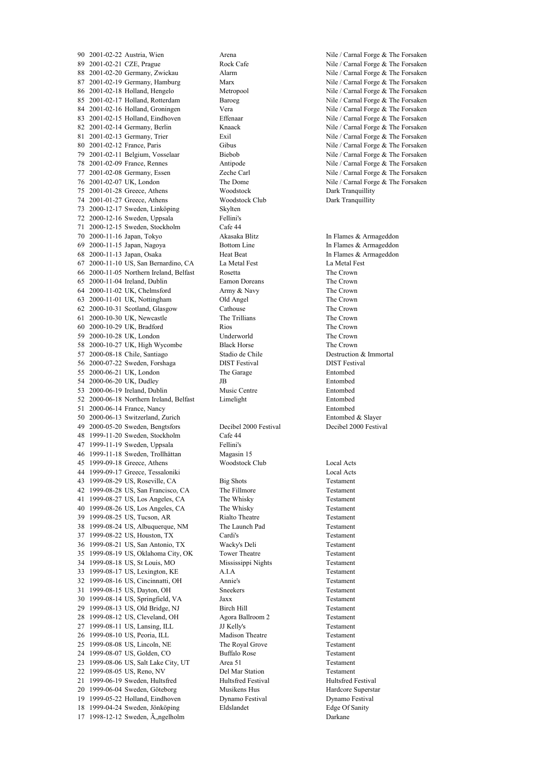2001-02-22 Austria, Wien Arena Nile / Carnal Forge & The Forsaken 2001-02-21 CZE, Prague Rock Cafe Nile / Carnal Forge & The Forsaken 88 2001-02-20 Germany, Zwickau Alarm Alarm Nile / Carnal Forge & The Forsaken 87 2001-02-19 Germany, Hamburg Marx Marx Nile / Carnal Forge & The Forsaken 86 2001-02-18 Holland, Hengelo Metropool Mile / Carnal Forge & The Forsaken 85 2001-02-17 Holland, Rotterdam Baroeg Nile / Carnal Forge & The Forsaken 84 2001-02-16 Holland, Groningen Vera Vera Nile / Carnal Forge & The Forsaken 83 2001-02-15 Holland, Eindhoven Effenaar Effenaar Nile / Carnal Forge & The Forsaken 82 2001-02-14 Germany, Berlin Knaack Nile / Carnal Forge & The Forsaken 81 2001-02-13 Germany, Trier Exil Exil Nile / Carnal Forge & The Forsaken 80 2001-02-12 France, Paris Gibus Gibus Nile / Carnal Forge & The Forsaken 2001-02-11 Belgium, Vosselaar Biebob Nile / Carnal Forge & The Forsaken 2001-02-09 France, Rennes Antipode Nile / Carnal Forge & The Forsaken 2001-02-08 Germany, Essen Zeche Carl Nile / Carnal Forge & The Forsaken 2001-02-07 UK, London The Dome Nile / Carnal Forge & The Forsaken 2001-01-28 Greece, Athens Woodstock Dark Tranquillity 2001-01-27 Greece, Athens Woodstock Club Dark Tranquillity 2000-12-17 Sweden, Linköping Skylten 2000-12-16 Sweden, Uppsala Fellini's 2000-12-15 Sweden, Stockholm Cafe 44 2000-11-16 Japan, Tokyo Akasaka Blitz In Flames & Armageddon 2000-11-15 Japan, Nagoya Bottom Line In Flames & Armageddon 2000-11-13 Japan, Osaka Heat Beat In Flames & Armageddon 2000-11-10 US, San Bernardino, CA La Metal Fest La Metal Fest 2000-11-05 Northern Ireland, Belfast Rosetta The Crown 2000-11-04 Ireland, Dublin Eamon Doreans The Crown 2000-11-02 UK, Chelmsford Army & Navy The Crown 2000-11-01 UK, Nottingham Old Angel The Crown 2000-10-31 Scotland, Glasgow Cathouse The Crown 2000-10-30 UK, Newcastle The Trillians The Crown 2000-10-29 UK, Bradford Rios The Crown 2000-10-28 UK, London Underworld The Crown 2000-10-27 UK, High Wycombe Black Horse The Crown 2000-08-18 Chile, Santiago Stadio de Chile Destruction & Immortal 2000-07-22 Sweden, Forshaga DIST Festival DIST Festival 2000-06-21 UK, London The Garage Entombed 54 2000-06-20 UK, Dudley JB JB Entombed 2000-06-19 Ireland, Dublin Music Centre Entombed 2000-06-18 Northern Ireland, Belfast Limelight Entombed 2000-06-14 France, Nancy Entombed 2000-06-13 Switzerland, Zurich Entombed & Slayer 2000-05-20 Sweden, Bengtsfors Decibel 2000 Festival Decibel 2000 Festival 1999-11-20 Sweden, Stockholm Cafe 44 47 1999-11-19 Sweden, Uppsala Fellini's<br>46 1999-11-18 Sweden, Trollhättan Magasin 15 46 1999-11-18 Sweden, Trollhättan 1999-09-18 Greece, Athens Woodstock Club Local Acts 1999-09-17 Greece, Tessaloniki Local Acts 1999-08-29 US, Roseville, CA Big Shots Testament 1999-08-28 US, San Francisco, CA The Fillmore Testament 1999-08-27 US, Los Angeles, CA The Whisky Testament 1999-08-26 US, Los Angeles, CA The Whisky Testament 39 1999-08-25 US, Tucson, AR Rialto Theatre Testament 1999-08-24 US, Albuquerque, NM The Launch Pad Testament 1999-08-22 US, Houston, TX Cardi's Testament 1999-08-21 US, San Antonio, TX Wacky's Deli Testament 1999-08-19 US, Oklahoma City, OK Tower Theatre Testament 1999-08-18 US, St Louis, MO Mississippi Nights Testament 1999-08-17 US, Lexington, KE A.I.A Testament 1999-08-16 US, Cincinnatti, OH Annie's Testament 1999-08-15 US, Dayton, OH Sneekers Testament 1999-08-14 US, Springfield, VA Jaxx Testament 1999-08-13 US, Old Bridge, NJ Birch Hill Testament 1999-08-12 US, Cleveland, OH Agora Ballroom 2 Testament 27 1999-08-11 US, Lansing, ILL JJ Kelly's Testament 1999-08-10 US, Peoria, ILL Madison Theatre Testament 1999-08-08 US, Lincoln, NE The Royal Grove Testament 1999-08-07 US, Golden, CO Buffalo Rose Testament 23 1999-08-06 US, Salt Lake City, UT Area 51 Testament 1999-08-05 US, Reno, NV Del Mar Station Testament 21 1999-06-19 Sweden, Hultsfred Hultsfred Hultsfred Festival Hultsfred Festival 1999-06-04 Sweden, Göteborg Musikens Hus Hardcore Superstar 1999-05-22 Holland, Eindhoven Dynamo Festival Dynamo Festival 1999-04-24 Sweden, Jönköping Eldslandet Edge Of Sanity 1998-12-12 Sweden, Ängelholm Darkane